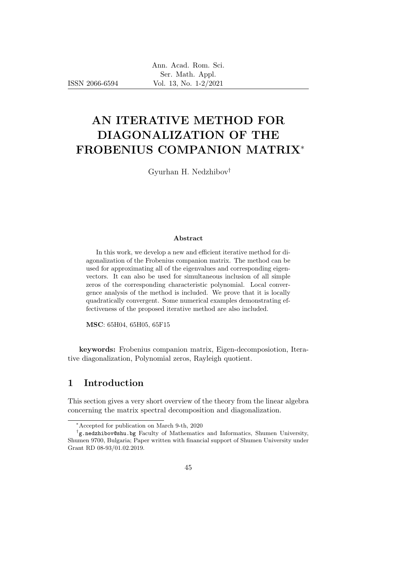ISSN 2066-6594

# AN ITERATIVE METHOD FOR DIAGONALIZATION OF THE FROBENIUS COMPANION MATRIX<sup>∗</sup>

Gyurhan H. Nedzhibov†

### Abstract

In this work, we develop a new and efficient iterative method for diagonalization of the Frobenius companion matrix. The method can be used for approximating all of the eigenvalues and corresponding eigenvectors. It can also be used for simultaneous inclusion of all simple zeros of the corresponding characteristic polynomial. Local convergence analysis of the method is included. We prove that it is locally quadratically convergent. Some numerical examples demonstrating effectiveness of the proposed iterative method are also included.

MSC: 65H04, 65H05, 65F15

keywords: Frobenius companion matrix, Eigen-decomposiotion, Iterative diagonalization, Polynomial zeros, Rayleigh quotient.

## 1 Introduction

This section gives a very short overview of the theory from the linear algebra concerning the matrix spectral decomposition and diagonalization.

<sup>∗</sup>Accepted for publication on March 9-th, 2020

<sup>†</sup> g.nedzhibov@shu.bg Faculty of Mathematics and Informatics, Shumen University, Shumen 9700, Bulgaria; Paper written with financial support of Shumen University under Grant RD 08-93/01.02.2019.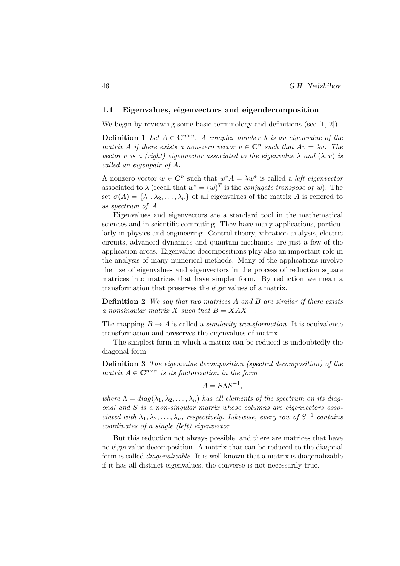#### 1.1 Eigenvalues, eigenvectors and eigendecomposition

We begin by reviewing some basic terminology and definitions (see  $[1, 2]$ ).

**Definition 1** Let  $A \in \mathbb{C}^{n \times n}$ . A complex number  $\lambda$  is an eigenvalue of the matrix A if there exists a non-zero vector  $v \in \mathbb{C}^n$  such that  $Av = \lambda v$ . The vector v is a (right) eigenvector associated to the eigenvalue  $\lambda$  and  $(\lambda, v)$  is called an eigenpair of A.

A nonzero vector  $w \in \mathbb{C}^n$  such that  $w^*A = \lambda w^*$  is called a *left eigenvector* associated to  $\lambda$  (recall that  $w^* = (\overline{w})^T$  is the *conjugate transpose of* w). The set  $\sigma(A) = {\lambda_1, \lambda_2, \ldots, \lambda_n}$  of all eigenvalues of the matrix A is reffered to as spectrum of A.

Eigenvalues and eigenvectors are a standard tool in the mathematical sciences and in scientific computing. They have many applications, particularly in physics and engineering. Control theory, vibration analysis, electric circuits, advanced dynamics and quantum mechanics are just a few of the application areas. Eigenvalue decompositions play also an important role in the analysis of many numerical methods. Many of the applications involve the use of eigenvalues and eigenvectors in the process of reduction square matrices into matrices that have simpler form. By reduction we mean a transformation that preserves the eigenvalues of a matrix.

**Definition 2** We say that two matrices A and B are similar if there exists a nonsingular matrix X such that  $B = XAX^{-1}$ .

The mapping  $B \to A$  is called a *similarity transformation*. It is equivalence transformation and preserves the eigenvalues of matrix.

The simplest form in which a matrix can be reduced is undoubtedly the diagonal form.

Definition 3 The eigenvalue decomposition (spectral decomposition) of the matrix  $A \in \mathbb{C}^{n \times n}$  is its factorization in the form

$$
A = S\Lambda S^{-1},
$$

where  $\Lambda = diag(\lambda_1, \lambda_2, \ldots, \lambda_n)$  has all elements of the spectrum on its diagonal and S is a non-singular matrix whose columns are eigenvectors associated with  $\lambda_1, \lambda_2, \ldots, \lambda_n$ , respectively. Likewise, every row of  $S^{-1}$  contains coordinates of a single (left) eigenvector.

But this reduction not always possible, and there are matrices that have no eigenvalue decomposition. A matrix that can be reduced to the diagonal form is called diagonalizable. It is well known that a matrix is diagonalizable if it has all distinct eigenvalues, the converse is not necessarily true.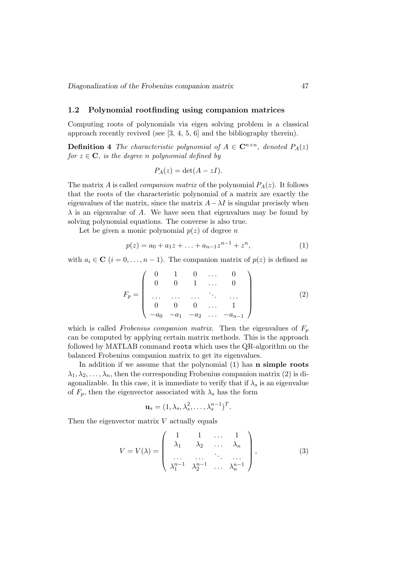## 1.2 Polynomial rootfinding using companion matrices

Computing roots of polynomials via eigen solving problem is a classical approach recently revived (see [3, 4, 5, 6] and the bibliography therein).

**Definition 4** The characteristic polynomial of  $A \in \mathbb{C}^{n \times n}$ , denoted  $P_A(z)$ for  $z \in \mathbf{C}$ , is the degree n polynomial defined by

$$
P_A(z) = \det(A - zI).
$$

The matrix A is called *companion matrix* of the polynomial  $P_A(z)$ . It follows that the roots of the characteristic polynomial of a matrix are exactly the eigenvalues of the matrix, since the matrix  $A - \lambda I$  is singular precisely when  $\lambda$  is an eigenvalue of A. We have seen that eigenvalues may be found by solving polynomial equations. The converse is also true.

Let be given a monic polynomial  $p(z)$  of degree n

$$
p(z) = a_0 + a_1 z + \ldots + a_{n-1} z^{n-1} + z^n, \tag{1}
$$

with  $a_i \in \mathbb{C}$   $(i = 0, \ldots, n-1)$ . The companion matrix of  $p(z)$  is defined as

$$
F_p = \left(\begin{array}{ccccc} 0 & 1 & 0 & \dots & 0 \\ 0 & 0 & 1 & \dots & 0 \\ \dots & \dots & \dots & \ddots & \dots \\ 0 & 0 & 0 & \dots & 1 \\ -a_0 & -a_1 & -a_2 & \dots & -a_{n-1} \end{array}\right) \tag{2}
$$

which is called *Frobenius companion matrix*. Then the eigenvalues of  $F_p$ can be computed by applying certain matrix methods. This is the approach followed by MATLAB command roots which uses the QR-algorithm on the balanced Frobenius companion matrix to get its eigenvalues.

In addition if we assume that the polynomial (1) has **n simple roots**  $\lambda_1, \lambda_2, \ldots, \lambda_n$ , then the corresponding Frobenius companion matrix (2) is diagonalizable. In this case, it is immediate to verify that if  $\lambda_s$  is an eigenvalue of  $F_p$ , then the eigenvector associated with  $\lambda_s$  has the form

$$
\mathbf{u}_s = (1, \lambda_s, \lambda_s^2, \dots, \lambda_s^{n-1})^T.
$$

Then the eigenvector matrix  $V$  actually equals

$$
V = V(\lambda) = \begin{pmatrix} 1 & 1 & \dots & 1 \\ \lambda_1 & \lambda_2 & \dots & \lambda_n \\ \dots & \dots & \dots & \dots \\ \lambda_1^{n-1} & \lambda_2^{n-1} & \dots & \lambda_n^{n-1} \end{pmatrix},
$$
(3)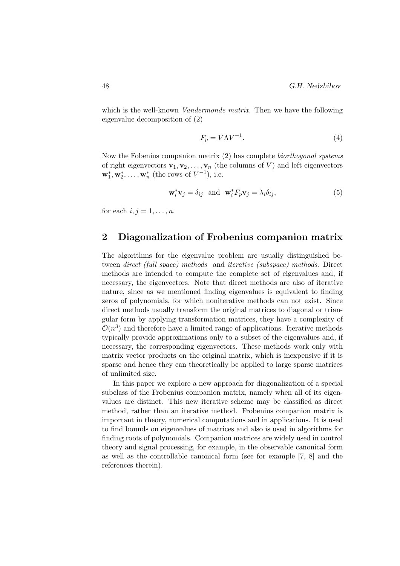which is the well-known *Vandermonde matrix*. Then we have the following eigenvalue decomposition of (2)

$$
F_p = V\Lambda V^{-1}.\tag{4}
$$

Now the Fobenius companion matrix (2) has complete biorthogonal systems of right eigenvectors  $\mathbf{v}_1, \mathbf{v}_2, \ldots, \mathbf{v}_n$  (the columns of V) and left eigenvectors  $\mathbf{w}_1^*, \mathbf{w}_2^*, \ldots, \mathbf{w}_n^*$  (the rows of  $V^{-1}$ ), i.e.

$$
\mathbf{w}_i^* \mathbf{v}_j = \delta_{ij} \text{ and } \mathbf{w}_i^* F_p \mathbf{v}_j = \lambda_i \delta_{ij}, \tag{5}
$$

for each  $i, j = 1, \ldots, n$ .

## 2 Diagonalization of Frobenius companion matrix

The algorithms for the eigenvalue problem are usually distinguished between direct (full space) methods and iterative (subspace) methods. Direct methods are intended to compute the complete set of eigenvalues and, if necessary, the eigenvectors. Note that direct methods are also of iterative nature, since as we mentioned finding eigenvalues is equivalent to finding zeros of polynomials, for which noniterative methods can not exist. Since direct methods usually transform the original matrices to diagonal or triangular form by applying transformation matrices, they have a complexity of  $\mathcal{O}(n^3)$  and therefore have a limited range of applications. Iterative methods typically provide approximations only to a subset of the eigenvalues and, if necessary, the corresponding eigenvectors. These methods work only with matrix vector products on the original matrix, which is inexpensive if it is sparse and hence they can theoretically be applied to large sparse matrices of unlimited size.

In this paper we explore a new approach for diagonalization of a special subclass of the Frobenius companion matrix, namely when all of its eigenvalues are distinct. This new iterative scheme may be classified as direct method, rather than an iterative method. Frobenius companion matrix is important in theory, numerical computations and in applications. It is used to find bounds on eigenvalues of matrices and also is used in algorithms for finding roots of polynomials. Companion matrices are widely used in control theory and signal processing, for example, in the observable canonical form as well as the controllable canonical form (see for example [7, 8] and the references therein).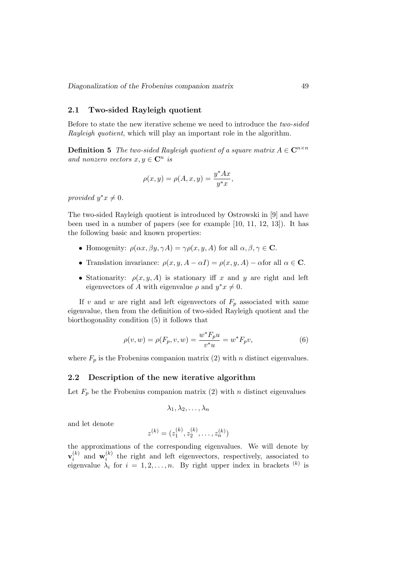## 2.1 Two-sided Rayleigh quotient

Before to state the new iterative scheme we need to introduce the two-sided Rayleigh quotient, which will play an important role in the algorithm.

**Definition 5** The two-sided Rayleigh quotient of a square matrix  $A \in \mathbb{C}^{n \times n}$ and nonzero vectors  $x, y \in \mathbb{C}^n$  is

$$
\rho(x,y) = \rho(A,x,y) = \frac{y^*Ax}{y^*x},
$$

provided  $y^*x \neq 0$ .

The two-sided Rayleigh quotient is introduced by Ostrowski in [9] and have been used in a number of papers (see for example [10, 11, 12, 13]). It has the following basic and known properties:

- Homogenity:  $\rho(\alpha x, \beta y, \gamma A) = \gamma \rho(x, y, A)$  for all  $\alpha, \beta, \gamma \in \mathbb{C}$ .
- Translation invariance:  $\rho(x, y, A \alpha I) = \rho(x, y, A) \alpha$  for all  $\alpha \in \mathbb{C}$ .
- Stationarity:  $\rho(x, y, A)$  is stationary iff x and y are right and left eigenvectors of A with eigenvalue  $\rho$  and  $y^*x \neq 0$ .

If v and w are right and left eigenvectors of  $F_p$  associated with same eigenvalue, then from the definition of two-sided Rayleigh quotient and the biorthogonality condition (5) it follows that

$$
\rho(v, w) = \rho(F_p, v, w) = \frac{w^* F_p u}{v^* u} = w^* F_p v,
$$
\n(6)

where  $F_p$  is the Frobenius companion matrix (2) with n distinct eigenvalues.

#### 2.2 Description of the new iterative algorithm

Let  $F_p$  be the Frobenius companion matrix (2) with *n* distinct eigenvalues

$$
\lambda_1, \lambda_2, \ldots, \lambda_n
$$

and let denote

$$
z^{(k)} = (z_1^{(k)}, z_2^{(k)}, \dots, z_n^{(k)})
$$

the approximations of the corresponding eigenvalues. We will denote by  $\mathbf{v}_i^{(k)}$  $\binom{k}{i}$  and  $\mathbf{w}_i^{(k)}$  $\binom{k}{i}$  the right and left eigenvectors, respectively, associated to eigenvalue  $\lambda_i$  for  $i = 1, 2, ..., n$ . By right upper index in brackets  $(k)$  is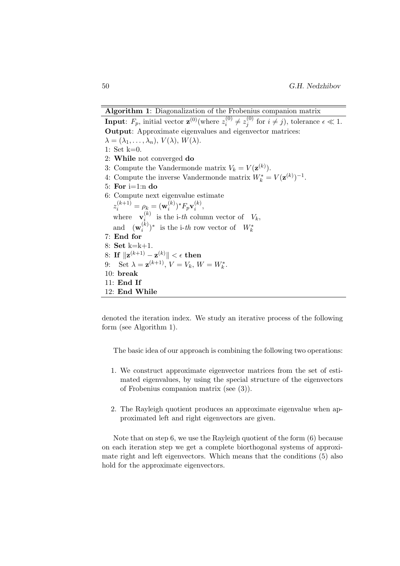Algorithm 1: Diagonalization of the Frobenius companion matrix **Input**:  $F_p$ , initial vector  $\mathbf{z}^{(0)}$  (where  $z_i^{(0)}$ )  $z^{(0)}_i\neq z^{(0)}_j$  $j_j^{(0)}$  for  $i \neq j$ , tolerance  $\epsilon \ll 1$ . Output: Approximate eigenvalues and eigenvector matrices:  $\lambda = (\lambda_1, \ldots, \lambda_n), V(\lambda), W(\lambda).$ 1: Set k=0. 2: While not converged do 3: Compute the Vandermonde matrix  $V_k = V(\mathbf{z}^{(k)})$ . 4: Compute the inverse Vandermonde matrix  $W_k^* = V(\mathbf{z}^{(k)})^{-1}$ . 5: For  $i=1:n$  do 6: Compute next eigenvalue estimate  $z_i^{(k+1)}=\rho_k=(\mathbf{w}_i^{(k)}$  $\binom(k) i^*F_p \mathbf{v}^{(k)}_i$  $\binom{\kappa}{i}$ where  $\mathbf{v}_i^{(k)}$  $\sum_{i=1}^{(k)}$  is the i-th column vector of  $V_k$ , and  $(\mathbf{w}_i^{(k)})$  $\binom{k}{i}^*$  is the i-th row vector of  $W_k^*$ 7: End for 8: Set k=k+1.  $8\!\!:\mathbf{If}\;\|\mathbf{z}^{(k+1)}-\mathbf{z}^{(k)}\|<\epsilon\;\mathbf{then}$ 9: Set  $\lambda = \mathbf{z}^{(k+1)}, V = V_k, W = W_k^*.$ 10: break 11: End If 12: End While

denoted the iteration index. We study an iterative process of the following form (see Algorithm 1).

The basic idea of our approach is combining the following two operations:

- 1. We construct approximate eigenvector matrices from the set of estimated eigenvalues, by using the special structure of the eigenvectors of Frobenius companion matrix (see (3)).
- 2. The Rayleigh quotient produces an approximate eigenvalue when approximated left and right eigenvectors are given.

Note that on step 6, we use the Rayleigh quotient of the form (6) because on each iteration step we get a complete biorthogonal systems of approximate right and left eigenvectors. Which means that the conditions (5) also hold for the approximate eigenvectors.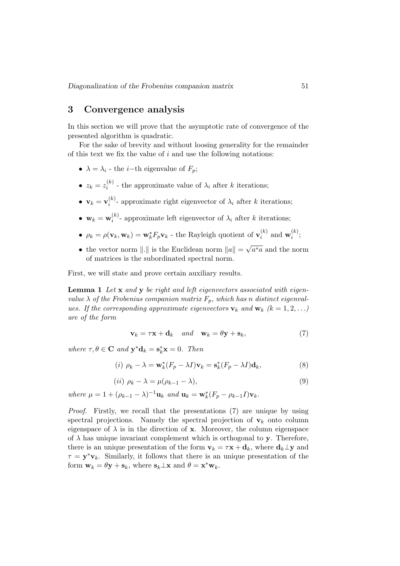# 3 Convergence analysis

In this section we will prove that the asymptotic rate of convergence of the presented algorithm is quadratic.

For the sake of brevity and without loosing generality for the remainder of this text we fix the value of  $i$  and use the following notations:

- $\lambda = \lambda_i$  the *i*-th eigenvalue of  $F_p$ ;
- $\bullet$   $z_k = z_i^{(k)}$  $i_i^{(k)}$  - the approximate value of  $\lambda_i$  after k iterations;
- $\bullet~~{\bf v}_k={\bf v}_i^{(k)}$  $i^{(k)}$ - approximate right eigenvector of  $\lambda_i$  after k iterations;
- $\bullet\ \mathbf{w}_k=\mathbf{w}_i^{(k)}$  $i^{(k)}$ - approximate left eigenvector of  $\lambda_i$  after k iterations;
- $\rho_k = \rho(\mathbf{v}_k, \mathbf{w}_k) = \mathbf{w}_k^* F_p \mathbf{v}_k$  the Rayleigh quotient of  $\mathbf{v}_i^{(k)}$  $i^{(k)}$  and  $\mathbf{w}_i^{(k)}$  $\binom{\kappa}{i}$ ;
- the vector norm  $\|.\|$  is the Euclidean norm  $\|a\| =$ √  $a^*a$  and the norm of matrices is the subordinated spectral norm.

First, we will state and prove certain auxiliary results.

Lemma 1 Let x and y be right and left eigenvectors associated with eigenvalue  $\lambda$  of the Frobenius companion matrix  $F_n$ , which has n distinct eigenvalues. If the corresponding approximate eigenvectors  $\mathbf{v}_k$  and  $\mathbf{w}_k$  ( $k = 1, 2, \ldots$ ) are of the form

$$
\mathbf{v}_k = \tau \mathbf{x} + \mathbf{d}_k \quad and \quad \mathbf{w}_k = \theta \mathbf{y} + \mathbf{s}_k,\tag{7}
$$

where  $\tau, \theta \in \mathbf{C}$  and  $\mathbf{y}^* \mathbf{d}_k = \mathbf{s}_k^* \mathbf{x} = 0$ . Then

$$
(i) \ \rho_k - \lambda = \mathbf{w}_k^*(F_p - \lambda I)\mathbf{v}_k = \mathbf{s}_k^*(F_p - \lambda I)\mathbf{d}_k,\tag{8}
$$

$$
(ii) \ \rho_k - \lambda = \mu(\rho_{k-1} - \lambda), \tag{9}
$$

where  $\mu = 1 + (\rho_{k-1} - \lambda)^{-1} \mathbf{u}_k$  and  $\mathbf{u}_k = \mathbf{w}_k^*(F_p - \rho_{k-1}I)\mathbf{v}_k$ .

Proof. Firstly, we recall that the presentations (7) are unique by using spectral projections. Namely the spectral projection of  $v_k$  onto column eigenspace of  $\lambda$  is in the direction of **x**. Moreover, the column eigenspace of  $\lambda$  has unique invariant complement which is orthogonal to y. Therefore, there is an unique presentation of the form  $\mathbf{v}_k = \tau \mathbf{x} + \mathbf{d}_k$ , where  $\mathbf{d}_k \perp \mathbf{y}$  and  $\tau = y^*v_k$ . Similarly, it follows that there is an unique presentation of the form  $\mathbf{w}_k = \theta \mathbf{y} + \mathbf{s}_k$ , where  $\mathbf{s}_k \perp \mathbf{x}$  and  $\theta = \mathbf{x}^* \mathbf{w}_k$ .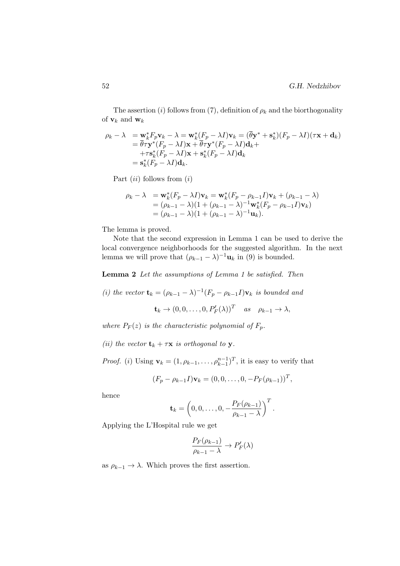The assertion (i) follows from (7), definition of  $\rho_k$  and the biorthogonality of  $\mathbf{v}_k$  and  $\mathbf{w}_k$ 

$$
\rho_k - \lambda = \mathbf{w}_k^* F_p \mathbf{v}_k - \lambda = \mathbf{w}_k^* (F_p - \lambda I) \mathbf{v}_k = (\overline{\theta} \mathbf{y}^* + \mathbf{s}_k^*)(F_p - \lambda I)(\tau \mathbf{x} + \mathbf{d}_k)
$$
  
\n
$$
= \overline{\theta} \tau \mathbf{y}^* (F_p - \lambda I) \mathbf{x} + \overline{\theta} \tau \mathbf{y}^* (F_p - \lambda I) \mathbf{d}_k +
$$
  
\n
$$
+ \tau \mathbf{s}_k^* (F_p - \lambda I) \mathbf{x} + \mathbf{s}_k^* (F_p - \lambda I) \mathbf{d}_k
$$
  
\n
$$
= \mathbf{s}_k^* (F_p - \lambda I) \mathbf{d}_k.
$$

Part  $(ii)$  follows from  $(i)$ 

$$
\rho_k - \lambda = \mathbf{w}_k^*(F_p - \lambda I)\mathbf{v}_k = \mathbf{w}_k^*(F_p - \rho_{k-1}I)\mathbf{v}_k + (\rho_{k-1} - \lambda)
$$
  
=  $(\rho_{k-1} - \lambda)(1 + (\rho_{k-1} - \lambda)^{-1}\mathbf{w}_k^*(F_p - \rho_{k-1}I)\mathbf{v}_k)$   
=  $(\rho_{k-1} - \lambda)(1 + (\rho_{k-1} - \lambda)^{-1}\mathbf{u}_k).$ 

The lemma is proved.

Note that the second expression in Lemma 1 can be used to derive the local convergence neighborhoods for the suggested algorithm. In the next lemma we will prove that  $(\rho_{k-1} - \lambda)^{-1} \mathbf{u}_k$  in (9) is bounded.

Lemma 2 Let the assumptions of Lemma 1 be satisfied. Then

(i) the vector  $\mathbf{t}_k = (\rho_{k-1} - \lambda)^{-1} (F_p - \rho_{k-1} I) \mathbf{v}_k$  is bounded and  $\mathbf{t}_k \to (0, 0, \ldots, 0, P'_F(\lambda))^T$  as  $\rho_{k-1} \to \lambda$ ,

where  $P_F(z)$  is the characteristic polynomial of  $F_p$ .

(ii) the vector  $\mathbf{t}_k + \tau \mathbf{x}$  is orthogonal to y.

*Proof.* (*i*) Using  $\mathbf{v}_k = (1, \rho_{k-1}, \dots, \rho_{k-1}^{n-1})^T$ , it is easy to verify that

$$
(F_p - \rho_{k-1}I)\mathbf{v}_k = (0, 0, \dots, 0, -P_F(\rho_{k-1}))^T,
$$

hence

$$
\mathbf{t}_k = \left(0,0,\ldots,0,-\frac{P_F(\rho_{k-1})}{\rho_{k-1}-\lambda}\right)^T.
$$

Applying the L'Hospital rule we get

$$
\frac{P_F(\rho_{k-1})}{\rho_{k-1} - \lambda} \to P'_F(\lambda)
$$

as  $\rho_{k-1} \to \lambda$ . Which proves the first assertion.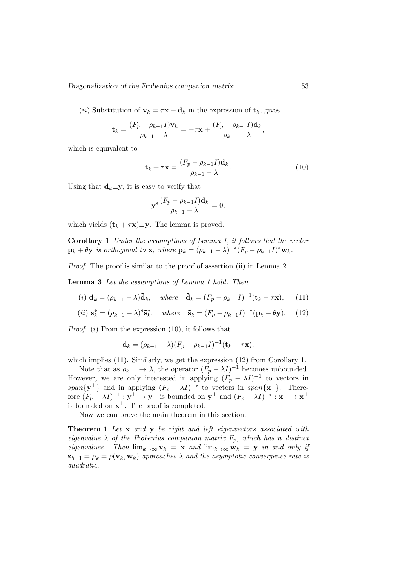(*ii*) Substitution of  $\mathbf{v}_k = \tau \mathbf{x} + \mathbf{d}_k$  in the expression of  $\mathbf{t}_k$ , gives

$$
\mathbf{t}_{k} = \frac{(F_p - \rho_{k-1}I)\mathbf{v}_{k}}{\rho_{k-1} - \lambda} = -\tau \mathbf{x} + \frac{(F_p - \rho_{k-1}I)\mathbf{d}_{k}}{\rho_{k-1} - \lambda},
$$

which is equivalent to

$$
\mathbf{t}_{k} + \tau \mathbf{x} = \frac{(F_p - \rho_{k-1}I)\mathbf{d}_k}{\rho_{k-1} - \lambda}.
$$
 (10)

Using that  $\mathbf{d}_k \perp \mathbf{y}$ , it is easy to verify that

$$
\mathbf{y}^* \frac{(F_p - \rho_{k-1}I)\mathbf{d}_k}{\rho_{k-1} - \lambda} = 0,
$$

which yields  $(\mathbf{t}_k + \tau \mathbf{x}) \perp \mathbf{y}$ . The lemma is proved.

Corollary 1 Under the assumptions of Lemma 1, it follows that the vector  $\mathbf{p}_k + \theta \mathbf{y}$  is orthogonal to **x**, where  $\mathbf{p}_k = (\rho_{k-1} - \lambda)^{-*} (F_p - \rho_{k-1} I)^* \mathbf{w}_k$ .

Proof. The proof is similar to the proof of assertion (ii) in Lemma 2.

Lemma 3 Let the assumptions of Lemma 1 hold. Then

$$
(i) \mathbf{d}_k = (\rho_{k-1} - \lambda)\tilde{\mathbf{d}}_k, \quad \text{where} \quad \tilde{\mathbf{d}}_k = (F_p - \rho_{k-1}I)^{-1}(\mathbf{t}_k + \tau \mathbf{x}), \quad (11)
$$

$$
(ii) \ \mathbf{s}_k^* = (\rho_{k-1} - \lambda)^* \tilde{\mathbf{s}}_k^*, \quad \text{where} \quad \tilde{\mathbf{s}}_k = (F_p - \rho_{k-1} I)^{-*} (\mathbf{p}_k + \theta \mathbf{y}). \tag{12}
$$

*Proof.* (*i*) From the expression  $(10)$ , it follows that

$$
\mathbf{d}_k = (\rho_{k-1} - \lambda)(F_p - \rho_{k-1}I)^{-1}(\mathbf{t}_k + \tau \mathbf{x}),
$$

which implies (11). Similarly, we get the expression (12) from Corollary 1.

Note that as  $\rho_{k-1} \to \lambda$ , the operator  $(F_p - \lambda I)^{-1}$  becomes unbounded. However, we are only interested in applying  $(F_p - \lambda I)^{-1}$  to vectors in span $\{y^{\perp}\}\$ and in applying  $(F_p - \lambda I)^{-*}$  to vectors in span $\{x^{\perp}\}\$ . Therefore  $(F_p - \lambda I)^{-1} : y^{\perp} \to y^{\perp}$  is bounded on  $y^{\perp}$  and  $(F_p - \lambda I)^{-*} : x^{\perp} \to x^{\perp}$ is bounded on  $\mathbf{x}^{\perp}$ . The proof is completed.

Now we can prove the main theorem in this section.

Theorem 1 Let x and y be right and left eigenvectors associated with eigenvalue  $\lambda$  of the Frobenius companion matrix  $F_p$ , which has n distinct eigenvalues. Then  $\lim_{k\to\infty} \mathbf{v}_k = \mathbf{x}$  and  $\lim_{k\to\infty} \mathbf{w}_k = \mathbf{y}$  in and only if  $z_{k+1} = \rho_k = \rho(\mathbf{v}_k, \mathbf{w}_k)$  approaches  $\lambda$  and the asymptotic convergence rate is quadratic.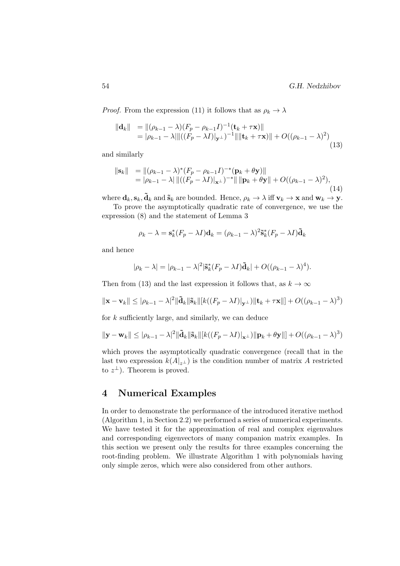*Proof.* From the expression (11) it follows that as  $\rho_k \to \lambda$ 

$$
\|\mathbf{d}_k\| = \|(\rho_{k-1} - \lambda)(F_p - \rho_{k-1}I)^{-1}(\mathbf{t}_k + \tau \mathbf{x})\|
$$
  
=  $|\rho_{k-1} - \lambda| \|((F_p - \lambda I)|_{\mathbf{y}^\perp})^{-1} \| \|\mathbf{t}_k + \tau \mathbf{x}) \| + O((\rho_{k-1} - \lambda)^2)$  (13)

and similarly

$$
\|\mathbf{s}_k\| = \|(\rho_{k-1} - \lambda)^*(F_p - \rho_{k-1}I)^{-*}(\mathbf{p}_k + \theta \mathbf{y})\|
$$
  
=  $|\rho_{k-1} - \lambda| \|((F_p - \lambda I)|_{\mathbf{x}^{\perp}})^{-*}\| \|\mathbf{p}_k + \theta \mathbf{y}\| + O((\rho_{k-1} - \lambda)^2),$  (14)

where  $\mathbf{d}_k$ ,  $\mathbf{s}_k$ ,  $\tilde{\mathbf{d}}_k$  and  $\tilde{\mathbf{s}}_k$  are bounded. Hence,  $\rho_k \to \lambda$  iff  $\mathbf{v}_k \to \mathbf{x}$  and  $\mathbf{w}_k \to \mathbf{y}$ .

To prove the asymptotically quadratic rate of convergence, we use the expression (8) and the statement of Lemma 3

$$
\rho_k - \lambda = \mathbf{s}_k^*(F_p - \lambda I)\mathbf{d}_k = (\rho_{k-1} - \lambda)^2 \mathbf{\tilde{s}}_k^*(F_p - \lambda I)\mathbf{\tilde{d}}_k
$$

and hence

$$
|\rho_k - \lambda| = |\rho_{k-1} - \lambda|^2 |\tilde{\mathbf{s}}_k^*(F_p - \lambda I)\tilde{\mathbf{d}}_k| + O((\rho_{k-1} - \lambda)^4).
$$

Then from (13) and the last expression it follows that, as  $k \to \infty$ 

$$
\|\mathbf{x}-\mathbf{v}_k\| \leq |\rho_{k-1}-\lambda|^2 \|\tilde{\mathbf{d}}_k\|\tilde{\mathbf{s}}_k\| [k((F_p-\lambda I)|_{\mathbf{y}^\perp})\|\mathbf{t}_k+\tau\mathbf{x}\|] + O((\rho_{k-1}-\lambda)^3)
$$

for k sufficiently large, and similarly, we can deduce

$$
\|\mathbf{y}-\mathbf{w}_k\| \leq |\rho_{k-1}-\lambda|^2 \|\mathbf{\tilde{d}}_k\|\mathbf{\tilde{s}}_k\| [k((F_p-\lambda I)|_{\mathbf{x}^\perp})\|\mathbf{p}_k+\theta \mathbf{y}\|] + O((\rho_{k-1}-\lambda)^3)
$$

which proves the asymptotically quadratic convergence (recall that in the last two expression  $k(A|_{z^{\perp}})$  is the condition number of matrix A restricted to  $z^{\perp}$ ). Theorem is proved.

## 4 Numerical Examples

In order to demonstrate the performance of the introduced iterative method (Algorithm 1, in Section 2.2) we performed a series of numerical experiments. We have tested it for the approximation of real and complex eigenvalues and corresponding eigenvectors of many companion matrix examples. In this section we present only the results for three examples concerning the root-finding problem. We illustrate Algorithm 1 with polynomials having only simple zeros, which were also considered from other authors.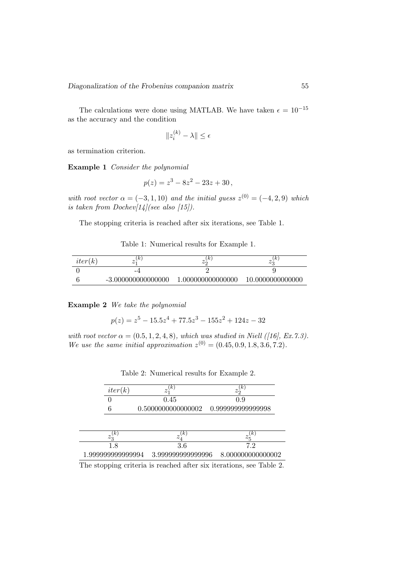The calculations were done using MATLAB. We have taken  $\epsilon = 10^{-15}$ as the accuracy and the condition

$$
||z_i^{(k)} - \lambda|| \le \epsilon
$$

as termination criterion.

Example 1 Consider the polynomial

$$
p(z) = z^3 - 8z^2 - 23z + 30,
$$

with root vector  $\alpha = (-3, 1, 10)$  and the initial guess  $z^{(0)} = (-4, 2, 9)$  which is taken from Dochev $[14]$ (see also [15]).

The stopping criteria is reached after six iterations, see Table 1.

| Table 1: Numerical results for Example 1. |  |  |  |  |
|-------------------------------------------|--|--|--|--|
|-------------------------------------------|--|--|--|--|

| iter(k) | lκ<br>$\overline{\phantom{a}}$ | . K '<br>$\sim$   | $\kappa$<br>$\omega$ |
|---------|--------------------------------|-------------------|----------------------|
|         | -4                             |                   |                      |
|         | $-3.000000000000000$           | 1.000000000000000 | 10.0000000000000     |

Example 2 We take the polynomial

 $p(z) = z^5 - 15.5z^4 + 77.5z^3 - 155z^2 + 124z - 32$ 

with root vector  $\alpha = (0.5, 1, 2, 4, 8)$ , which was studied in Niell ([16], Ex.7.3). We use the same initial approximation  $z^{(0)} = (0.45, 0.9, 1.8, 3.6, 7.2)$ .

| iter(k)           | k)                 | $\kappa$<br>$z_{\mathcal{D}}$ |  |
|-------------------|--------------------|-------------------------------|--|
|                   | 0.45               | 0.9                           |  |
|                   | 0.5000000000000002 | 0.999999999999998             |  |
|                   |                    |                               |  |
| (k)<br>$z_{2}$    | $\kappa$<br>$z$ )  | $\kappa$<br>$z_{5}$           |  |
| 1.8               | 3.6                | 7.2                           |  |
| 1.999999999999994 | 3.999999999999996  | 8.000000000000002             |  |

Table 2: Numerical results for Example 2.

The stopping criteria is reached after six iterations, see Table 2.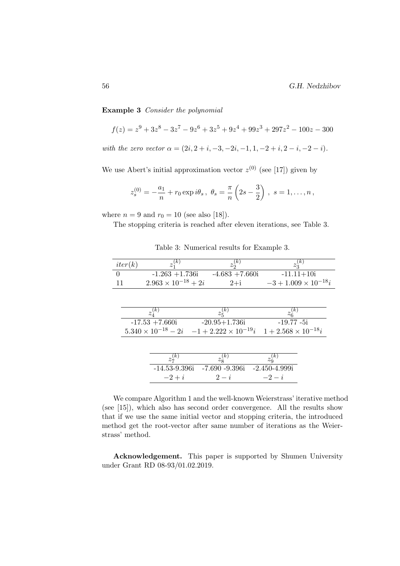Example 3 Consider the polynomial

$$
f(z) = z9 + 3z8 - 3z7 - 9z6 + 3z5 + 9z4 + 99z3 + 297z2 - 100z - 300
$$

with the zero vector  $\alpha = (2i, 2 + i, -3, -2i, -1, 1, -2 + i, 2 - i, -2 - i).$ 

We use Abert's initial approximation vector  $z^{(0)}$  (see [17]) given by

$$
z_s^{(0)} = -\frac{a_1}{n} + r_0 \exp i\theta_s, \ \theta_s = \frac{\pi}{n} \left(2s - \frac{3}{2}\right), \ s = 1, \dots, n \,,
$$

where  $n = 9$  and  $r_0 = 10$  (see also [18]).

The stopping criteria is reached after eleven iterations, see Table 3.

Table 3: Numerical results for Example 3.

|          | $z_1^{(\bar{k})}$<br>iter(k)                              |                                                       | $z_2^{(k)}$ | $z_3^{(k)}$                   |
|----------|-----------------------------------------------------------|-------------------------------------------------------|-------------|-------------------------------|
| $\theta$ | $-1.263 + 1.736i$                                         | $-4.683 + 7.660i$                                     |             | $-11.11+10i$                  |
| 11       | $2.963 \times 10^{-18} + 2i$                              |                                                       | $2+i$       | $-3 + 1.009 \times 10^{-18}i$ |
|          |                                                           |                                                       |             |                               |
|          |                                                           |                                                       |             |                               |
|          | $z_{\scriptscriptstyle\mathcal{A}}^{(\overline{k})}$      | $z_5^{(k)}$                                           |             | $z_6^{\bar(k)}$               |
|          | $-17.53 + 7.660i$                                         | $-20.95 + 1.736i$                                     |             | $-19.77 - 5i$                 |
|          | $5.340 \times 10^{-18} - 2i - 1 + 2.222 \times 10^{-19}i$ |                                                       |             | $1+2.568\times 10^{-18}i$     |
|          |                                                           |                                                       |             |                               |
|          |                                                           |                                                       |             |                               |
|          | $z_7^{(\bar{k})}$                                         | $z_8^{(k)}$                                           | $z_9^{(k)}$ |                               |
|          |                                                           | $-14.53 - 9.396i$ $-7.690 - 9.396i$ $-2.450 - 4.999i$ |             |                               |
|          | $-2+i$                                                    | $2-i$                                                 | $-2-i$      |                               |

We compare Algorithm 1 and the well-known Weierstrass' iterative method (see [15]), which also has second order convergence. All the results show that if we use the same initial vector and stopping criteria, the introduced method get the root-vector after same number of iterations as the Weierstrass' method.

Acknowledgement. This paper is supported by Shumen University under Grant RD 08-93/01.02.2019.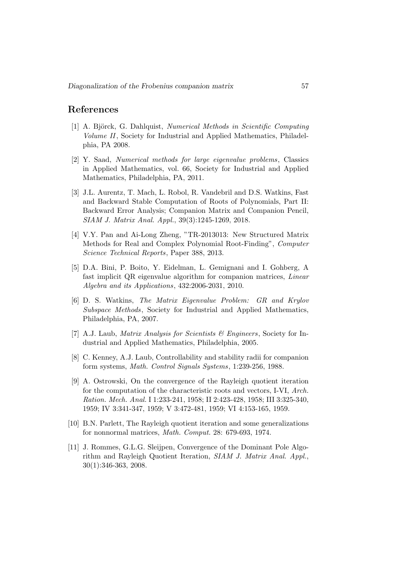# References

- [1] A. Björck, G. Dahlquist, Numerical Methods in Scientific Computing Volume II, Society for Industrial and Applied Mathematics, Philadelphia, PA 2008.
- [2] Y. Saad, Numerical methods for large eigenvalue problems, Classics in Applied Mathematics, vol. 66, Society for Industrial and Applied Mathematics, Philadelphia, PA, 2011.
- [3] J.L. Aurentz, T. Mach, L. Robol, R. Vandebril and D.S. Watkins, Fast and Backward Stable Computation of Roots of Polynomials, Part II: Backward Error Analysis; Companion Matrix and Companion Pencil, SIAM J. Matrix Anal. Appl., 39(3):1245-1269, 2018.
- [4] V.Y. Pan and Ai-Long Zheng, "TR-2013013: New Structured Matrix Methods for Real and Complex Polynomial Root-Finding", Computer Science Technical Reports, Paper 388, 2013.
- [5] D.A. Bini, P. Boito, Y. Eidelman, L. Gemignani and I. Gohberg, A fast implicit QR eigenvalue algorithm for companion matrices, Linear Algebra and its Applications, 432:2006-2031, 2010.
- [6] D. S. Watkins, The Matrix Eigenvalue Problem: GR and Krylov Subspace Methods, Society for Industrial and Applied Mathematics, Philadelphia, PA, 2007.
- [7] A.J. Laub, *Matrix Analysis for Scientists*  $\mathcal{C}$  *Engineers*, Society for Industrial and Applied Mathematics, Philadelphia, 2005.
- [8] C. Kenney, A.J. Laub, Controllability and stability radii for companion form systems, Math. Control Signals Systems, 1:239-256, 1988.
- [9] A. Ostrowski, On the convergence of the Rayleigh quotient iteration for the computation of the characteristic roots and vectors, I-VI, Arch. Ration. Mech. Anal. I 1:233-241, 1958; II 2:423-428, 1958; III 3:325-340, 1959; IV 3:341-347, 1959; V 3:472-481, 1959; VI 4:153-165, 1959.
- [10] B.N. Parlett, The Rayleigh quotient iteration and some generalizations for nonnormal matrices, Math. Comput. 28: 679-693, 1974.
- [11] J. Rommes, G.L.G. Sleijpen, Convergence of the Dominant Pole Algorithm and Rayleigh Quotient Iteration, SIAM J. Matrix Anal. Appl., 30(1):346-363, 2008.